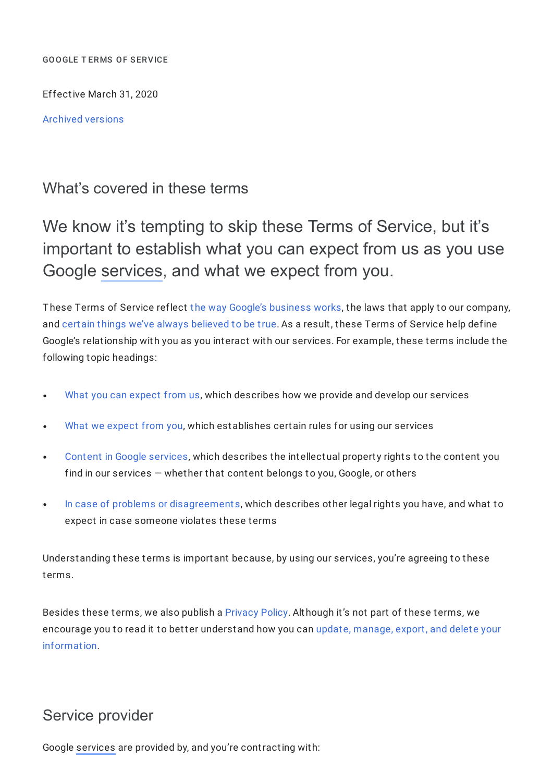GOOGLE T ERMS OF SERVICE

Effective March 31, 2020

[Archived](https://policies.google.com/terms/archive) versions

## What's covered in these terms

We know it's tempting to skip these Terms of Service, but it's important to establish what you can expect from us as you use Google [services](https://policies.google.com/terms#footnote-services), and what we expect from you.

These Terms of Service reflect the way Google's [business](https://about.google/intl/en_CA/how-our-business-works) works, the laws that apply to our company, and certain things we've always [believed](https://www.google.com/about/philosophy.html) to be true. As a result, these Terms of Service help define Google's relationship with you as you interact with our services. For example, these terms include the following topic headings:

- What you can [expect](https://policies.google.com/terms#toc-what-you-expect) from us, which describes how we provide and develop our services
- What we [expect](https://policies.google.com/terms#toc-what-we-expect) from you, which establishes certain rules for using our services  $\bullet$
- Content in Google [services,](https://policies.google.com/terms#toc-content) which describes the intellectual property rights to the content you  $\bullet$ find in our services — whether that content belongs to you, Google, or others
- In case of problems or [disagreements](https://policies.google.com/terms#toc-problems), which describes other legal rights you have, and what to expect in case someone violates these terms

Understanding these terms is important because, by using our services, you're agreeing to these terms.

Besides these terms, we also publish a [Privacy](https://policies.google.com/privacy) Policy. Although it's not part of these terms, we encourage you to read it to better understand how you can update, manage, export, and delete your [information.](https://myaccount.google.com/)

## Service provider

Google [services](https://policies.google.com/terms#footnote-services) are provided by, and you're contracting with: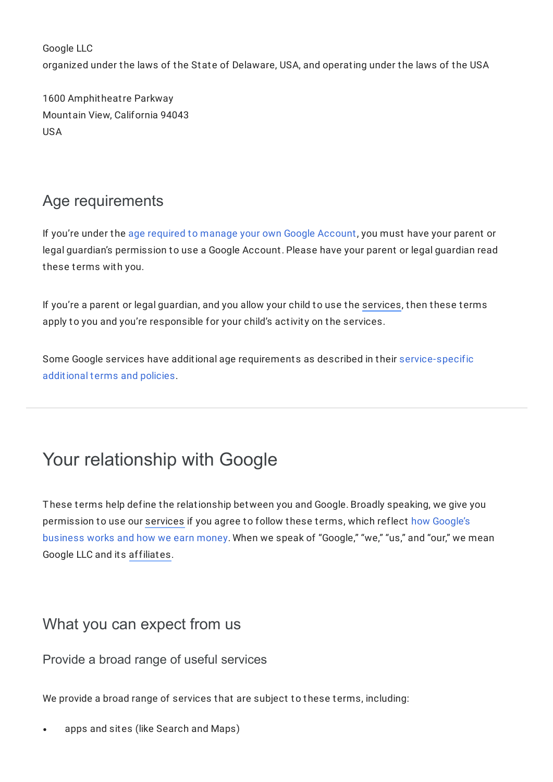Google LLC organized under the laws of the State of Delaware, USA, and operating under the laws of the USA

1600 Amphitheatre Parkway Mountain View, California 94043 USA

# Age requirements

If you're under the age required to manage your own Google [Account](https://support.google.com/accounts/answer/1350409), you must have your parent or legal guardian's permission to use a Google Account. Please have your parent or legal guardian read these terms with you.

If you're a parent or legal guardian, and you allow your child to use the [services](https://policies.google.com/terms#footnote-services), then these terms apply to you and you're responsible for your child's activity on the services.

Some Google services have additional age requirements as described in their [service-specific](https://policies.google.com/terms/service-specific) additional terms and policies.

# Your relationship with Google

These terms help define the relationship between you and Google. Broadly speaking, we give you [permission](https://about.google/intl/en_CA/how-our-business-works) to use our [services](https://policies.google.com/terms#footnote-services) if you agree to follow these terms, which reflect how Google's business works and how we earn money. When we speak of "Google," "we," "us," and "our," we mean Google LLC and its [affiliates.](https://policies.google.com/terms#footnote-affiliates)

## What you can expect from us

Provide a broad range of useful services

We provide a broad range of services that are subject to these terms, including:

apps and sites (like Search and Maps)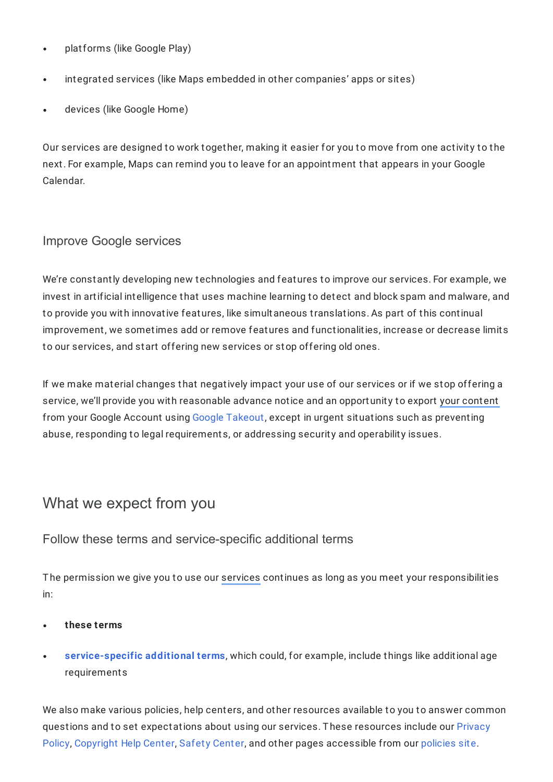- platforms (like Google Play)  $\bullet$
- integrated services (like Maps embedded in other companies' apps or sites)  $\bullet$
- devices (like Google Home)

Our services are designed to work together, making it easier for you to move from one activity to the next. For example, Maps can remind you to leave for an appointment that appears in your Google Calendar.

## Improve Google services

We're constantly developing new technologies and features to improve our services. For example, we invest in artificial intelligence that uses machine learning to detect and block spam and malware, and to provide you with innovative features, like simultaneous translations. As part of this continual improvement, we sometimes add or remove features and functionalities, increase or decrease limits to our services, and start offering new services or stop offering old ones.

If we make material changes that negatively impact your use of our services or if we stop offering a service, we'll provide you with reasonable advance notice and an opportunity to export your [content](https://policies.google.com/terms#footnote-your-content) from your Google Account using Google [Takeout](https://takeout.google.com/settings/takeout), except in urgent situations such as preventing abuse, responding to legal requirements, or addressing security and operability issues.

## What we expect from you

## Follow these terms and service-specific additional terms

The permission we give you to use our [services](https://policies.google.com/terms#footnote-services) continues as long as you meet your responsibilities in:

- **these terms**
- **[service-specific](https://policies.google.com/terms/service-specific) additional terms**, which could, for example, include things like additional age requirements

We also make various policies, help centers, and other resources available to you to answer common questions and to set [expectations](https://policies.google.com/privacy) about using our services. These resources include our Privacy Policy, [Copyright](https://support.google.com/legal/topic/4558877) Help Center, Safety [Center](https://safety.google/), and other pages accessible from our [policies](https://policies.google.com/) site.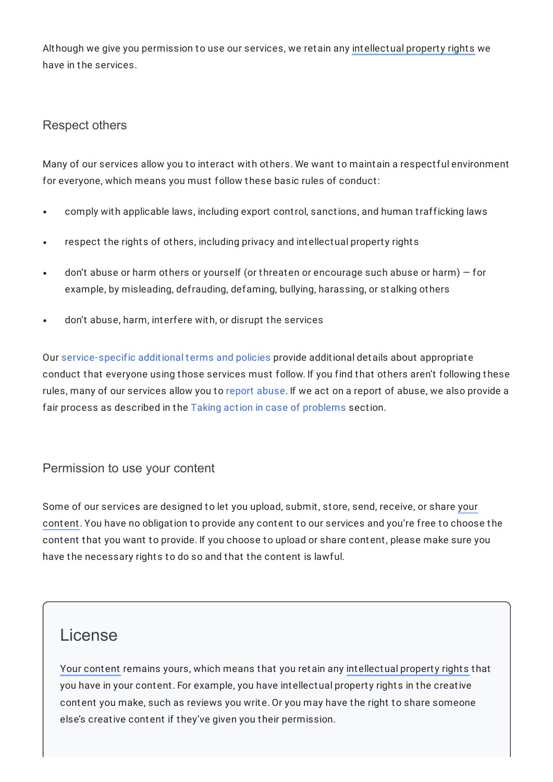Although we give you permission to use our services, we retain any [intellectual](https://policies.google.com/terms#footnote-intellectual-property-rights) property rights we have in the services.

## Respect others

Many of our services allow you to interact with others. We want to maintain a respectful environment for everyone, which means you must follow these basic rules of conduct:

- comply with applicable laws, including export control, sanctions, and human trafficking laws
- respect the rights of others, including privacy and intellectual property rights
- don't abuse or harm others or yourself (or threaten or encourage such abuse or harm) for example, by misleading, defrauding, defaming, bullying, harassing, or stalking others
- don't abuse, harm, interfere with, or disrupt the services

Our [service-specific](https://policies.google.com/terms/service-specific) additional terms and policies provide additional details about appropriate conduct that everyone using those services must follow. If you find that others aren't following these rules, many of our services allow you to report [abuse.](https://google.com/contact) If we act on a report of abuse, we also provide a fair process as described in the Taking action in case of [problems](https://policies.google.com/terms#toc-problems) section.

## Permission to use your content

Some of our services are designed to let you upload, submit, store, send, receive, or share your content. You have no [obligation](https://policies.google.com/terms#footnote-your-content) to provide any content to our services and you're free to choose the content that you want to provide. If you choose to upload or share content, please make sure you have the necessary rights to do so and that the content is lawful.

## License

Your [content](https://policies.google.com/terms#footnote-your-content) remains yours, which means that you retain any [intellectual](https://policies.google.com/terms#footnote-intellectual-property-rights) property rights that you have in your content. For example, you have intellectual property rights in the creative content you make, such as reviews you write. Or you may have the right to share someone else's creative content if they've given you their permission.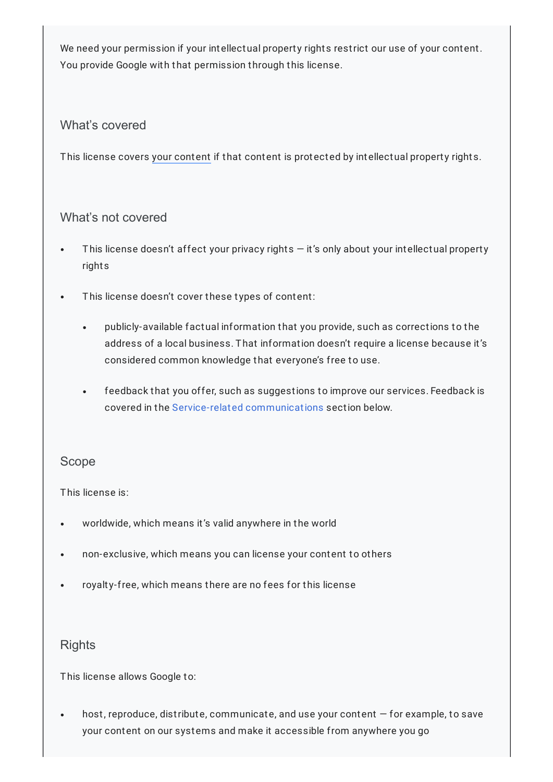We need your permission if your intellectual property rights restrict our use of your content. You provide Google with that permission through this license.

### What's covered

This license covers your [content](https://policies.google.com/terms#footnote-your-content) if that content is protected by intellectual property rights.

### What's not covered

- This license doesn't affect your privacy rights  $-$  it's only about your intellectual property rights
- This license doesn't cover these types of content:  $\bullet$ 
	- publicly-available factual information that you provide, such as corrections to the  $\bullet$  . address of a local business. That information doesn't require a license because it's considered common knowledge that everyone's free to use.
	- feedback that you offer, such as suggestions to improve our services. Feedback is  $\bullet$  . covered in the Service-related [communications](https://policies.google.com/terms#toc-service-related-comm) section below.

### Scope

This license is:

- worldwide, which means it's valid anywhere in the world
- non-exclusive, which means you can license your content to others  $\bullet$
- royalty-free, which means there are no fees for this license  $\bullet$

## **Rights**

This license allows Google to:

host, reproduce, distribute, communicate, and use your content — for example, to save  $\bullet$ your content on our systems and make it accessible from anywhere you go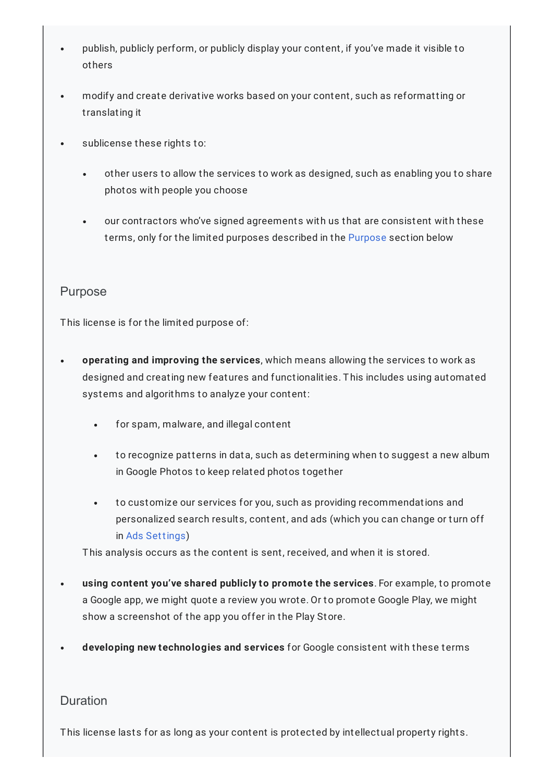- publish, publicly perform, or publicly display your content, if you've made it visible to others
- modify and create derivative works based on your content, such as reformatting or translating it
- sublicense these rights to:
	- other users to allow the services to work as designed, such as enabling you to share  $\bullet$ photos with people you choose
	- our contractors who've signed agreements with us that are consistent with these terms, only for the limited purposes described in the [Purpose](https://policies.google.com/terms#toc-purpose) section below

### Purpose

This license is for the limited purpose of:

- **operating and improving the services**, which means allowing the services to work as designed and creating new features and functionalities. This includes using automated systems and algorithms to analyze your content:
	- $\bullet$ for spam, malware, and illegal content
	- to recognize patterns in data, such as determining when to suggest a new album  $\bullet$ in Google Photos to keep related photos together
	- to customize our services for you, such as providing recommendations and personalized search results, content, and ads (which you can change or turn off in Ads [Settings](https://adssettings.google.com/))

This analysis occurs as the content is sent, received, and when it is stored.

- **using content you've shared publicly to promote the services**. For example, to promote a Google app, we might quote a review you wrote. Or to promote Google Play, we might show a screenshot of the app you offer in the Play Store.
- **developing new technologies and services** for Google consistent with these terms

#### **Duration**

This license lasts for as long as your content is protected by intellectual property rights.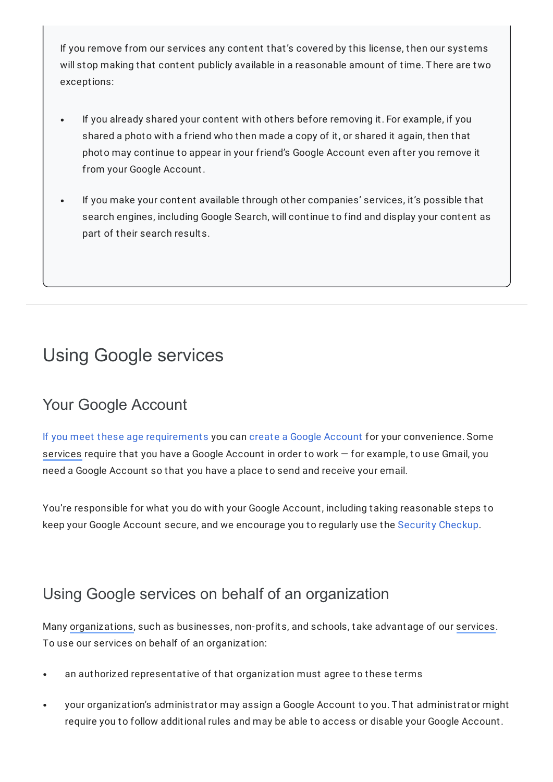If you remove from our services any content that's covered by this license, then our systems will stop making that content publicly available in a reasonable amount of time. There are two exceptions:

- If you already shared your content with others before removing it. For example, if you shared a photo with a friend who then made a copy of it, or shared it again, then that photo may continue to appear in your friend's Google Account even after you remove it from your Google Account.
- If you make your content available through other companies' services, it's possible that search engines, including Google Search, will continue to find and display your content as part of their search results.

# Using Google services

# Your Google Account

If you meet these age [requirements](https://support.google.com/accounts/answer/1350409) you can create a Google [Account](https://support.google.com/accounts/answer/27441) for your convenience. Some [services](https://policies.google.com/terms#footnote-services) require that you have a Google Account in order to work — for example, to use Gmail, you need a Google Account so that you have a place to send and receive your email.

You're responsible for what you do with your Google Account, including taking reasonable steps to keep your Google Account secure, and we encourage you to regularly use the Security [Checkup.](https://myaccount.google.com/security-checkup)

# Using Google services on behalf of an organization

Many [organizations,](https://policies.google.com/terms#footnote-organization) such as businesses, non-profits, and schools, take advantage of our [services.](https://policies.google.com/terms#footnote-services) To use our services on behalf of an organization:

- an authorized representative of that organization must agree to these terms  $\bullet$
- your organization's administrator may assign a Google Account to you. That administrator might require you to follow additional rules and may be able to access or disable your Google Account.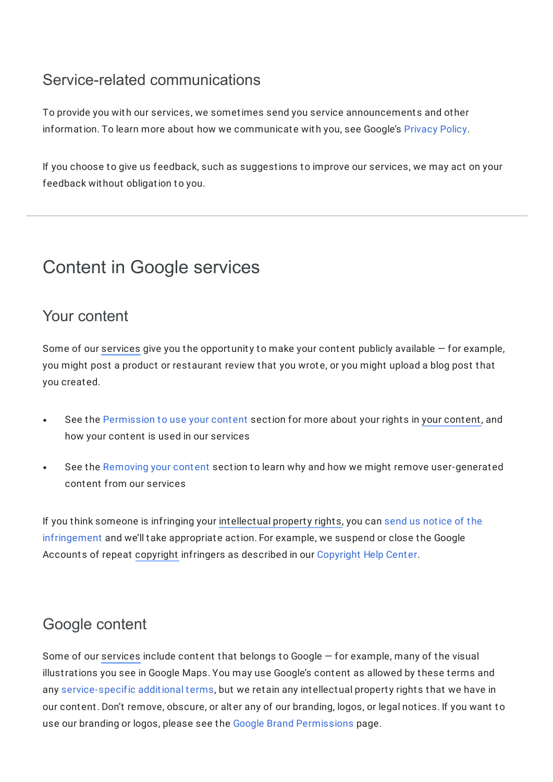# Service-related communications

To provide you with our services, we sometimes send you service announcements and other information. To learn more about how we communicate with you, see Google's [Privacy](https://policies.google.com/privacy) Policy.

If you choose to give us feedback, such as suggestions to improve our services, we may act on your feedback without obligation to you.

# Content in Google services

## Your content

Some of our [services](https://policies.google.com/terms#footnote-services) give you the opportunity to make your content publicly available — for example, you might post a product or restaurant review that you wrote, or you might upload a blog post that you created.

- See the [Permission](https://policies.google.com/terms#toc-permission) to use your content section for more about your rights in your [content](https://policies.google.com/terms#footnote-your-content), and how your content is used in our services
- See the [Removing](https://policies.google.com/terms#toc-removing) your content section to learn why and how we might remove user-generated  $\bullet$ content from our services

If you think someone is infringing your [intellectual](https://policies.google.com/terms#footnote-intellectual-property-rights) property rights, you can send us notice of the [infringement](https://support.google.com/legal/answer/3110420) and we'll take appropriate action. For example, we suspend or close the Google Accounts of repeat [copyright](https://policies.google.com/terms#footnote-copyright) infringers as described in our [Copyright](https://support.google.com/legal/topic/4558877) Help Center.

# Google content

Some of our [services](https://policies.google.com/terms#footnote-services) include content that belongs to Google — for example, many of the visual illustrations you see in Google Maps. You may use Google's content as allowed by these terms and any [service-specific](https://policies.google.com/terms/service-specific) additional terms, but we retain any intellectual property rights that we have in our content. Don't remove, obscure, or alter any of our branding, logos, or legal notices. If you want to use our branding or logos, please see the Google Brand [Permissions](https://www.google.com/permissions) page.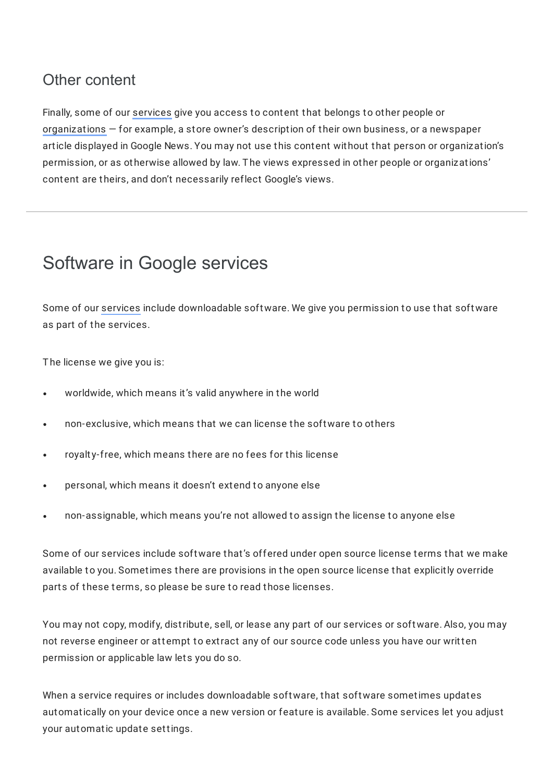# Other content

Finally, some of our [services](https://policies.google.com/terms#footnote-services) give you access to content that belongs to other people or [organizations](https://policies.google.com/terms#footnote-organization) — for example, a store owner's description of their own business, or a newspaper article displayed in Google News. You may not use this content without that person or organization's permission, or as otherwise allowed by law. The views expressed in other people or organizations' content are theirs, and don't necessarily reflect Google's views.

# Software in Google services

Some of our [services](https://policies.google.com/terms#footnote-services) include downloadable software. We give you permission to use that software as part of the services.

The license we give you is:

- worldwide, which means it's valid anywhere in the world
- non-exclusive, which means that we can license the software to others
- royalty-free, which means there are no fees for this license  $\bullet$
- personal, which means it doesn't extend to anyone else  $\bullet$
- non-assignable, which means you're not allowed to assign the license to anyone else

Some of our services include software that's offered under open source license terms that we make available to you. Sometimes there are provisions in the open source license that explicitly override parts of these terms, so please be sure to read those licenses.

You may not copy, modify, distribute, sell, or lease any part of our services or software. Also, you may not reverse engineer or attempt to extract any of our source code unless you have our written permission or applicable law lets you do so.

When a service requires or includes downloadable software, that software sometimes updates automatically on your device once a new version or feature is available. Some services let you adjust your automatic update settings.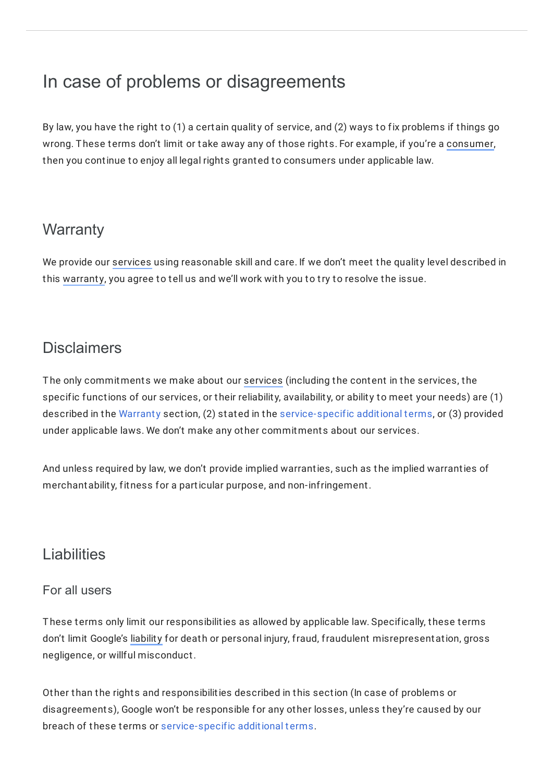# In case of problems or disagreements

By law, you have the right to (1) a certain quality of service, and (2) ways to fix problems if things go wrong. These terms don't limit or take away any of those rights. For example, if you're a [consumer,](https://policies.google.com/terms#footnote-consumer) then you continue to enjoy all legal rights granted to consumers under applicable law.

# **Warranty**

We provide our [services](https://policies.google.com/terms#footnote-services) using reasonable skill and care. If we don't meet the quality level described in this [warranty,](https://policies.google.com/terms#footnote-warranty) you agree to tell us and we'll work with you to try to resolve the issue.

# **Disclaimers**

The only commitments we make about our [services](https://policies.google.com/terms#footnote-services) (including the content in the services, the specific functions of our services, or their reliability, availability, or ability to meet your needs) are (1) described in the [Warranty](https://policies.google.com/terms#toc-warranty) section, (2) stated in the [service-specific](https://policies.google.com/terms/service-specific) additional terms, or (3) provided under applicable laws. We don't make any other commitments about our services.

And unless required by law, we don't provide implied warranties, such as the implied warranties of merchantability, fitness for a particular purpose, and non-infringement.

## Liabilities

## For all users

These terms only limit our responsibilities as allowed by applicable law. Specifically, these terms don't limit Google's [liability](https://policies.google.com/terms#footnote-liability) for death or personal injury, fraud, fraudulent misrepresentation, gross negligence, or willful misconduct.

Other than the rights and responsibilities described in this section (In case of problems or disagreements), Google won't be responsible for any other losses, unless they're caused by our breach of these terms or [service-specific](https://policies.google.com/terms/service-specific) additional terms.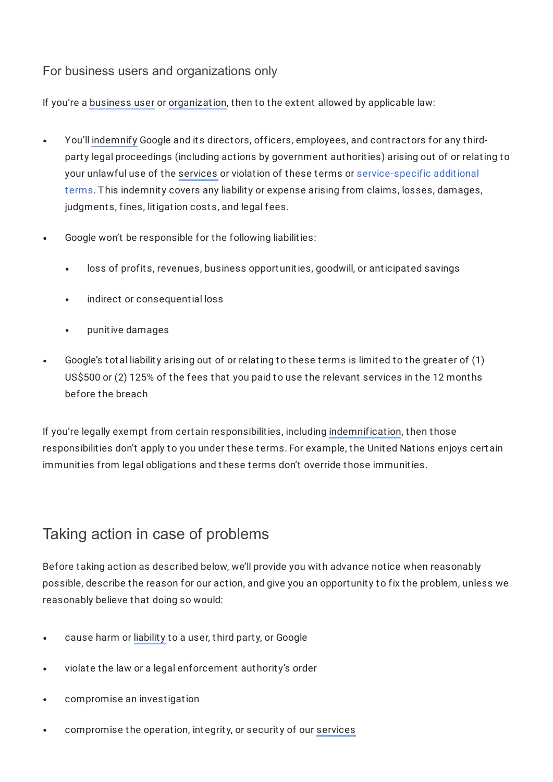## For business users and organizations only

If you're a [business](https://policies.google.com/terms#footnote-business-user) user or [organization](https://policies.google.com/terms#footnote-organization), then to the extent allowed by applicable law:

- You'll [indemnify](https://policies.google.com/terms#footnote-indemnify) Google and its directors, officers, employees, and contractors for any thirdparty legal proceedings (including actions by government authorities) arising out of or relating to your unlawful use of the [services](https://policies.google.com/terms#footnote-services) or violation of these terms or [service-specific](https://policies.google.com/terms/service-specific) additional terms. This indemnity covers any liability or expense arising from claims, losses, damages, judgments, fines, litigation costs, and legal fees.
- Google won't be responsible for the following liabilities:
	- loss of profits, revenues, business opportunities, goodwill, or anticipated savings
	- indirect or consequential loss
	- punitive damages  $\bullet$
- Google's total liability arising out of or relating to these terms is limited to the greater of (1) US\$500 or (2) 125% of the fees that you paid to use the relevant services in the 12 months before the breach

If you're legally exempt from certain responsibilities, including [indemnification](https://policies.google.com/terms#footnote-indemnify), then those responsibilities don't apply to you under these terms. For example, the United Nations enjoys certain immunities from legal obligations and these terms don't override those immunities.

# Taking action in case of problems

Before taking action as described below, we'll provide you with advance notice when reasonably possible, describe the reason for our action, and give you an opportunity to fix the problem, unless we reasonably believe that doing so would:

- cause harm or [liability](https://policies.google.com/terms#footnote-liability) to a user, third party, or Google
- violate the law or a legal enforcement authority's order
- compromise an investigation
- compromise the operation, integrity, or security of our [services](https://policies.google.com/terms#footnote-services)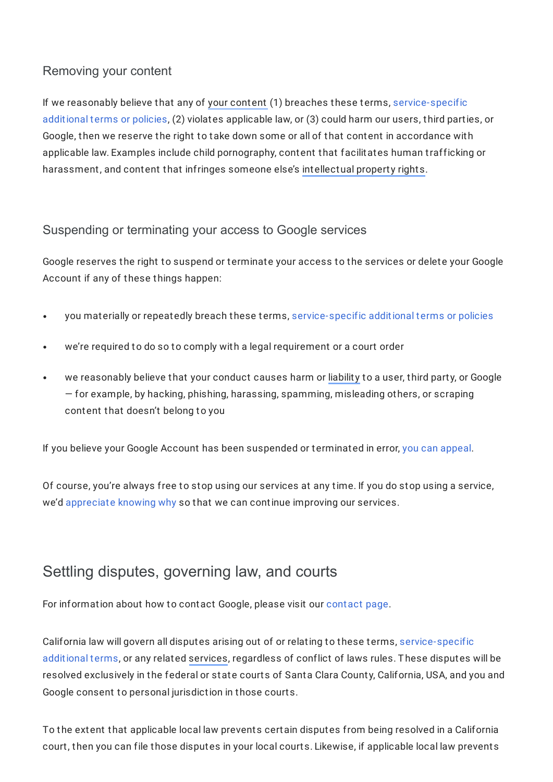## Removing your content

If we reasonably believe that any of your [content](https://policies.google.com/terms#footnote-your-content) (1) breaches these terms, [service-specific](https://policies.google.com/terms/service-specific) additional terms or policies, (2) violates applicable law, or (3) could harm our users, third parties, or Google, then we reserve the right to take down some or all of that content in accordance with applicable law. Examples include child pornography, content that facilitates human trafficking or harassment, and content that infringes someone else's [intellectual](https://policies.google.com/terms#footnote-intellectual-property-rights) property rights.

## Suspending or terminating your access to Google services

Google reserves the right to suspend or terminate your access to the services or delete your Google Account if any of these things happen:

- you materially or repeatedly breach these terms, [service-specific](https://policies.google.com/terms/service-specific) additional terms or policies
- we're required to do so to comply with a legal requirement or a court order
- we reasonably believe that your conduct causes harm or [liability](https://policies.google.com/terms#footnote-liability) to a user, third party, or Google — for example, by hacking, phishing, harassing, spamming, misleading others, or scraping content that doesn't belong to you

If you believe your Google Account has been suspended or terminated in error, you can [appeal](https://support.google.com/accounts/answer/40695).

Of course, you're always free to stop using our services at any time. If you do stop using a service, we'd [appreciate](https://www.google.com/tools/feedback) knowing why so that we can continue improving our services.

## Settling disputes, governing law, and courts

For information about how to contact Google, please visit our [contact](https://www.google.com/contact) page.

California law will govern all disputes arising out of or relating to these terms, [service-specific](https://policies.google.com/terms/service-specific) additional terms, or any related [services,](https://policies.google.com/terms#footnote-services) regardless of conflict of laws rules. These disputes will be resolved exclusively in the federal or state courts of Santa Clara County, California, USA, and you and Google consent to personal jurisdiction in those courts.

To the extent that applicable local law prevents certain disputes from being resolved in a California court, then you can file those disputes in your local courts. Likewise, if applicable local law prevents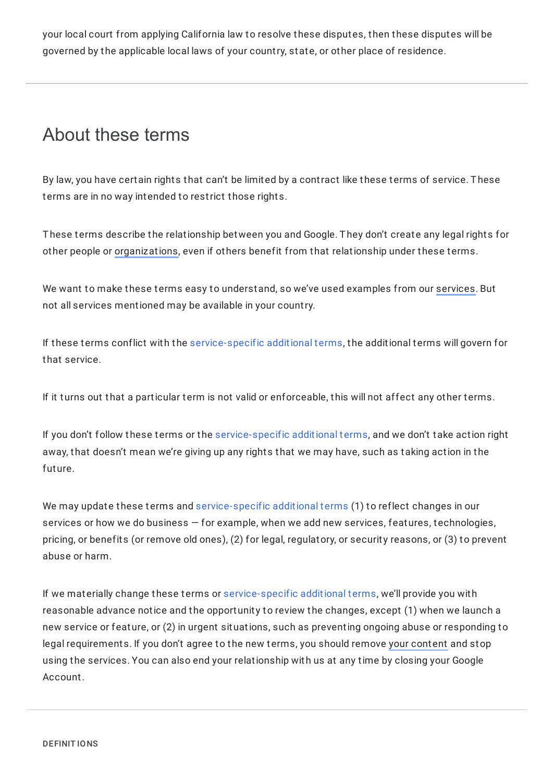your local court from applying California law to resolve these disputes, then these disputes will be governed by the applicable local laws of your country, state, or other place of residence.

# About these terms

By law, you have certain rights that can't be limited by a contract like these terms of service. These terms are in no way intended to restrict those rights.

These terms describe the relationship between you and Google. They don't create any legal rights for other people or [organizations](https://policies.google.com/terms#footnote-organization), even if others benefit from that relationship under these terms.

We want to make these terms easy to understand, so we've used examples from our [services](https://policies.google.com/terms#footnote-services). But not all services mentioned may be available in your country.

If these terms conflict with the [service-specific](https://policies.google.com/terms/service-specific) additional terms, the additional terms will govern for that service.

If it turns out that a particular term is not valid or enforceable, this will not affect any other terms.

If you don't follow these terms or the [service-specific](https://policies.google.com/terms/service-specific) additional terms, and we don't take action right away, that doesn't mean we're giving up any rights that we may have, such as taking action in the future.

We may update these terms and [service-specific](https://policies.google.com/terms/service-specific) additional terms (1) to reflect changes in our services or how we do business — for example, when we add new services, features, technologies, pricing, or benefits (or remove old ones), (2) for legal, regulatory, or security reasons, or (3) to prevent abuse or harm.

If we materially change these terms or [service-specific](https://policies.google.com/terms/service-specific) additional terms, we'll provide you with reasonable advance notice and the opportunity to review the changes, except (1) when we launch a new service or feature, or (2) in urgent situations, such as preventing ongoing abuse or responding to legal requirements. If you don't agree to the new terms, you should remove your [content](https://policies.google.com/terms#footnote-your-content) and stop using the services. You can also end your relationship with us at any time by closing your Google Account.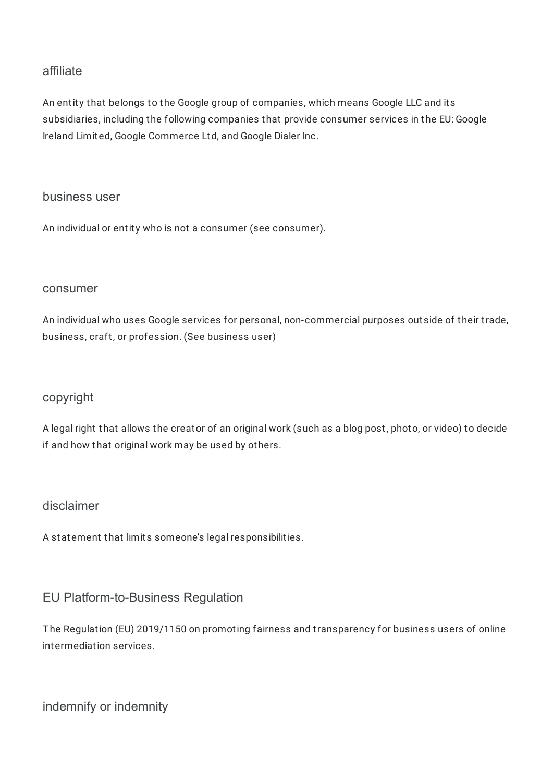### affiliate

An entity that belongs to the Google group of companies, which means Google LLC and its subsidiaries, including the following companies that provide consumer services in the EU: Google Ireland Limited, Google Commerce Ltd, and Google Dialer Inc.

#### business user

An individual or entity who is not a consumer (see consumer).

#### consumer

An individual who uses Google services for personal, non-commercial purposes outside of their trade, business, craft, or profession. (See business user)

### copyright

A legal right that allows the creator of an original work (such as a blog post, photo, or video) to decide if and how that original work may be used by others.

### disclaimer

A statement that limits someone's legal responsibilities.

### EU Platform-to-Business Regulation

The Regulation (EU) 2019/1150 on promoting fairness and transparency for business users of online intermediation services.

indemnify or indemnity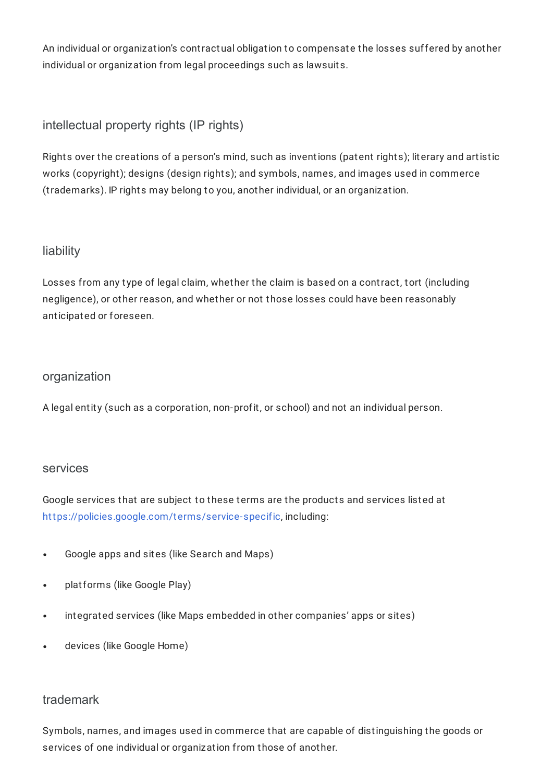An individual or organization's contractual obligation to compensate the losses suffered by another individual or organization from legal proceedings such as lawsuits.

intellectual property rights (IP rights)

Rights over the creations of a person's mind, such as inventions (patent rights); literary and artistic works (copyright); designs (design rights); and symbols, names, and images used in commerce (trademarks). IP rights may belong to you, another individual, or an organization.

## liability

Losses from any type of legal claim, whether the claim is based on a contract, tort (including negligence), or other reason, and whether or not those losses could have been reasonably anticipated or foreseen.

### organization

A legal entity (such as a corporation, non-profit, or school) and not an individual person.

### services

Google services that are subject to these terms are the products and services listed at <https://policies.google.com/terms/service-specific>, including:

- Google apps and sites (like Search and Maps)  $\bullet$
- platforms (like Google Play)  $\bullet$
- integrated services (like Maps embedded in other companies' apps or sites)  $\bullet$
- devices (like Google Home)

### trademark

Symbols, names, and images used in commerce that are capable of distinguishing the goods or services of one individual or organization from those of another.